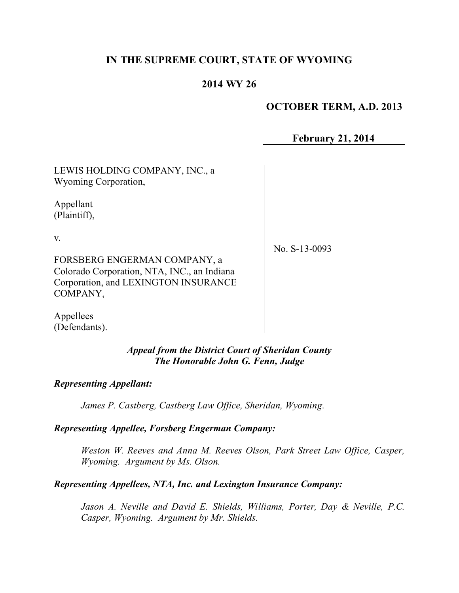## **IN THE SUPREME COURT, STATE OF WYOMING**

## **2014 WY 26**

#### **OCTOBER TERM, A.D. 2013**

**February 21, 2014**

LEWIS HOLDING COMPANY, INC., a Wyoming Corporation,

Appellant (Plaintiff),

v.

FORSBERG ENGERMAN COMPANY, a Colorado Corporation, NTA, INC., an Indiana Corporation, and LEXINGTON INSURANCE COMPANY,

Appellees (Defendants). No. S-13-0093

*Appeal from the District Court of Sheridan County The Honorable John G. Fenn, Judge*

*Representing Appellant:*

*James P. Castberg, Castberg Law Office, Sheridan, Wyoming.*

*Representing Appellee, Forsberg Engerman Company:*

*Weston W. Reeves and Anna M. Reeves Olson, Park Street Law Office, Casper, Wyoming. Argument by Ms. Olson.*

#### *Representing Appellees, NTA, Inc. and Lexington Insurance Company:*

*Jason A. Neville and David E. Shields, Williams, Porter, Day & Neville, P.C. Casper, Wyoming. Argument by Mr. Shields.*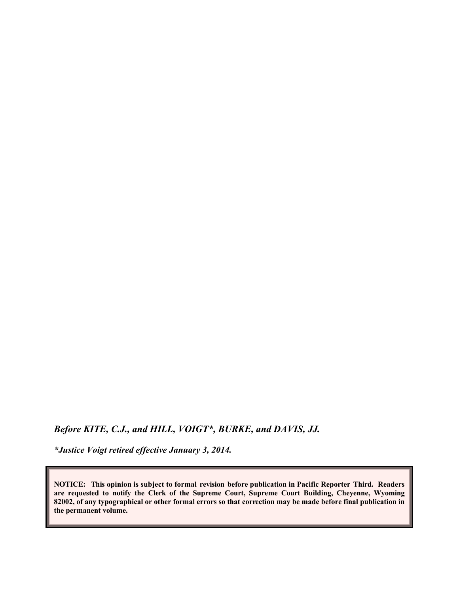*Before KITE, C.J., and HILL, VOIGT\*, BURKE, and DAVIS, JJ.*

*\*Justice Voigt retired effective January 3, 2014.*

**NOTICE: This opinion is subject to formal revision before publication in Pacific Reporter Third. Readers are requested to notify the Clerk of the Supreme Court, Supreme Court Building, Cheyenne, Wyoming 82002, of any typographical or other formal errors so that correction may be made before final publication in the permanent volume.**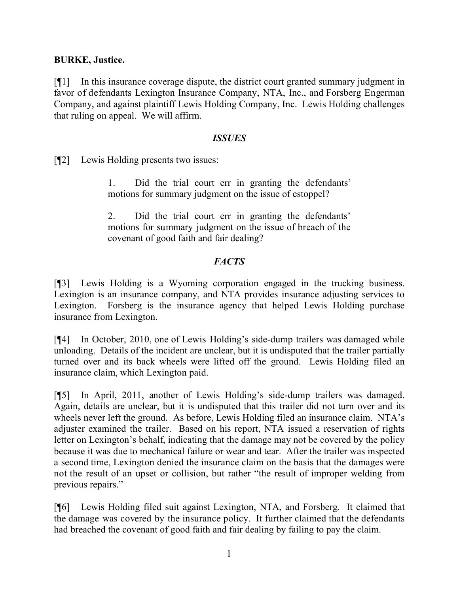#### **BURKE, Justice.**

[¶1] In this insurance coverage dispute, the district court granted summary judgment in favor of defendants Lexington Insurance Company, NTA, Inc., and Forsberg Engerman Company, and against plaintiff Lewis Holding Company, Inc. Lewis Holding challenges that ruling on appeal. We will affirm.

#### *ISSUES*

[¶2] Lewis Holding presents two issues:

1. Did the trial court err in granting the defendants' motions for summary judgment on the issue of estoppel?

2. Did the trial court err in granting the defendants' motions for summary judgment on the issue of breach of the covenant of good faith and fair dealing?

### *FACTS*

[¶3] Lewis Holding is a Wyoming corporation engaged in the trucking business. Lexington is an insurance company, and NTA provides insurance adjusting services to Lexington. Forsberg is the insurance agency that helped Lewis Holding purchase insurance from Lexington.

[¶4] In October, 2010, one of Lewis Holding's side-dump trailers was damaged while unloading. Details of the incident are unclear, but it is undisputed that the trailer partially turned over and its back wheels were lifted off the ground. Lewis Holding filed an insurance claim, which Lexington paid.

[¶5] In April, 2011, another of Lewis Holding's side-dump trailers was damaged. Again, details are unclear, but it is undisputed that this trailer did not turn over and its wheels never left the ground. As before, Lewis Holding filed an insurance claim. NTA's adjuster examined the trailer. Based on his report, NTA issued a reservation of rights letter on Lexington's behalf, indicating that the damage may not be covered by the policy because it was due to mechanical failure or wear and tear. After the trailer was inspected a second time, Lexington denied the insurance claim on the basis that the damages were not the result of an upset or collision, but rather "the result of improper welding from previous repairs."

[¶6] Lewis Holding filed suit against Lexington, NTA, and Forsberg. It claimed that the damage was covered by the insurance policy. It further claimed that the defendants had breached the covenant of good faith and fair dealing by failing to pay the claim.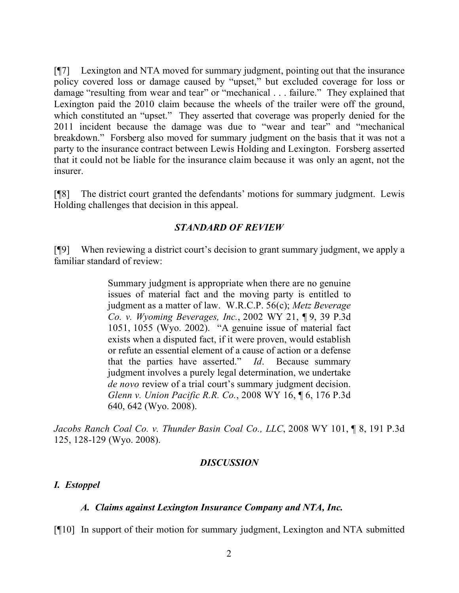[¶7] Lexington and NTA moved for summary judgment, pointing out that the insurance policy covered loss or damage caused by "upset," but excluded coverage for loss or damage "resulting from wear and tear" or "mechanical . . . failure." They explained that Lexington paid the 2010 claim because the wheels of the trailer were off the ground, which constituted an "upset." They asserted that coverage was properly denied for the 2011 incident because the damage was due to "wear and tear" and "mechanical breakdown." Forsberg also moved for summary judgment on the basis that it was not a party to the insurance contract between Lewis Holding and Lexington. Forsberg asserted that it could not be liable for the insurance claim because it was only an agent, not the insurer.

[¶8] The district court granted the defendants' motions for summary judgment. Lewis Holding challenges that decision in this appeal.

### *STANDARD OF REVIEW*

[¶9] When reviewing a district court's decision to grant summary judgment, we apply a familiar standard of review:

> Summary judgment is appropriate when there are no genuine issues of material fact and the moving party is entitled to judgment as a matter of law. W.R.C.P. 56(c); *Metz Beverage Co. v. Wyoming Beverages, Inc.*, 2002 WY 21, ¶ 9, 39 P.3d 1051, 1055 (Wyo. 2002). "A genuine issue of material fact exists when a disputed fact, if it were proven, would establish or refute an essential element of a cause of action or a defense that the parties have asserted." *Id*. Because summary judgment involves a purely legal determination, we undertake *de novo* review of a trial court's summary judgment decision. *Glenn v. Union Pacific R.R. Co.*, 2008 WY 16, ¶ 6, 176 P.3d 640, 642 (Wyo. 2008).

*Jacobs Ranch Coal Co. v. Thunder Basin Coal Co., LLC*, 2008 WY 101, ¶ 8, 191 P.3d 125, 128-129 (Wyo. 2008).

### *DISCUSSION*

### *I. Estoppel*

### *A. Claims against Lexington Insurance Company and NTA, Inc.*

[¶10] In support of their motion for summary judgment, Lexington and NTA submitted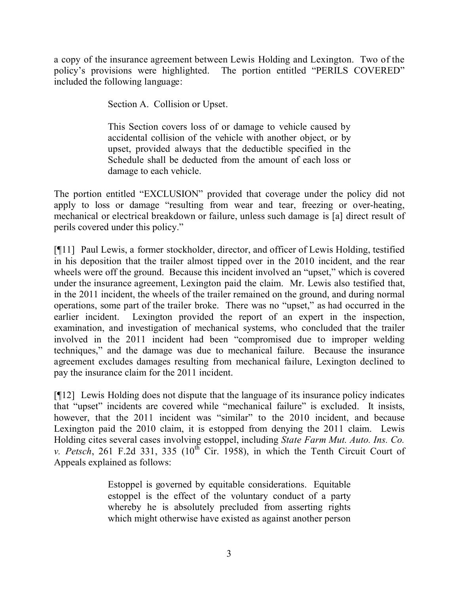a copy of the insurance agreement between Lewis Holding and Lexington. Two of the policy's provisions were highlighted. The portion entitled "PERILS COVERED" included the following language:

Section A. Collision or Upset.

This Section covers loss of or damage to vehicle caused by accidental collision of the vehicle with another object, or by upset, provided always that the deductible specified in the Schedule shall be deducted from the amount of each loss or damage to each vehicle.

The portion entitled "EXCLUSION" provided that coverage under the policy did not apply to loss or damage "resulting from wear and tear, freezing or over-heating, mechanical or electrical breakdown or failure, unless such damage is [a] direct result of perils covered under this policy."

[¶11] Paul Lewis, a former stockholder, director, and officer of Lewis Holding, testified in his deposition that the trailer almost tipped over in the 2010 incident, and the rear wheels were off the ground. Because this incident involved an "upset," which is covered under the insurance agreement, Lexington paid the claim. Mr. Lewis also testified that, in the 2011 incident, the wheels of the trailer remained on the ground, and during normal operations, some part of the trailer broke. There was no "upset," as had occurred in the earlier incident. Lexington provided the report of an expert in the inspection, examination, and investigation of mechanical systems, who concluded that the trailer involved in the 2011 incident had been "compromised due to improper welding techniques," and the damage was due to mechanical failure. Because the insurance agreement excludes damages resulting from mechanical failure, Lexington declined to pay the insurance claim for the 2011 incident.

[¶12] Lewis Holding does not dispute that the language of its insurance policy indicates that "upset" incidents are covered while "mechanical failure" is excluded. It insists, however, that the 2011 incident was "similar" to the 2010 incident, and because Lexington paid the 2010 claim, it is estopped from denying the 2011 claim. Lewis Holding cites several cases involving estoppel, including *State Farm Mut. Auto. Ins. Co. v. Petsch*, 261 F.2d 331, 335  $(10^{th}$  Cir. 1958), in which the Tenth Circuit Court of Appeals explained as follows:

> Estoppel is governed by equitable considerations. Equitable estoppel is the effect of the voluntary conduct of a party whereby he is absolutely precluded from asserting rights which might otherwise have existed as against another person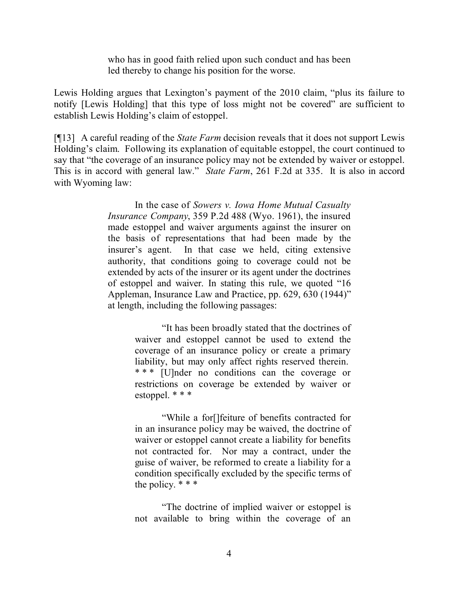who has in good faith relied upon such conduct and has been led thereby to change his position for the worse.

Lewis Holding argues that Lexington's payment of the 2010 claim, "plus its failure to notify [Lewis Holding] that this type of loss might not be covered" are sufficient to establish Lewis Holding's claim of estoppel.

[¶13] A careful reading of the *State Farm* decision reveals that it does not support Lewis Holding's claim. Following its explanation of equitable estoppel, the court continued to say that "the coverage of an insurance policy may not be extended by waiver or estoppel. This is in accord with general law." *State Farm*, 261 F.2d at 335. It is also in accord with Wyoming law:

> In the case of *Sowers v. Iowa Home Mutual Casualty Insurance Company*, 359 P.2d 488 (Wyo. 1961), the insured made estoppel and waiver arguments against the insurer on the basis of representations that had been made by the insurer's agent. In that case we held, citing extensive authority, that conditions going to coverage could not be extended by acts of the insurer or its agent under the doctrines of estoppel and waiver. In stating this rule, we quoted "16 Appleman, Insurance Law and Practice, pp. 629, 630 (1944)" at length, including the following passages:

> > "It has been broadly stated that the doctrines of waiver and estoppel cannot be used to extend the coverage of an insurance policy or create a primary liability, but may only affect rights reserved therein. \* \* \* [U]nder no conditions can the coverage or restrictions on coverage be extended by waiver or estoppel. \* \* \*

> > "While a for[]feiture of benefits contracted for in an insurance policy may be waived, the doctrine of waiver or estoppel cannot create a liability for benefits not contracted for. Nor may a contract, under the guise of waiver, be reformed to create a liability for a condition specifically excluded by the specific terms of the policy.  $***$

> > "The doctrine of implied waiver or estoppel is not available to bring within the coverage of an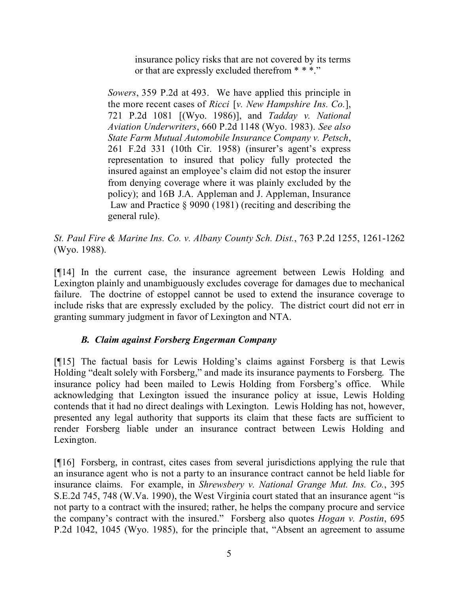insurance policy risks that are not covered by its terms or that are expressly excluded therefrom \* \* \*."

*Sowers*, 359 P.2d at 493. We have applied this principle in the more recent cases of *Ricci* [*v. New Hampshire Ins. Co.*], 721 P.2d 1081 [(Wyo. 1986)], and *Tadday v. National Aviation Underwriters*, 660 P.2d 1148 (Wyo. 1983). *See also State Farm Mutual Automobile Insurance Company v. Petsch*, 261 F.2d 331 (10th Cir. 1958) (insurer's agent's express representation to insured that policy fully protected the insured against an employee's claim did not estop the insurer from denying coverage where it was plainly excluded by the policy); and 16B J.A. Appleman and J. Appleman, Insurance Law and Practice § 9090 (1981) (reciting and describing the general rule).

*St. Paul Fire & Marine Ins. Co. v. Albany County Sch. Dist.*, 763 P.2d 1255, 1261-1262 (Wyo. 1988).

[¶14] In the current case, the insurance agreement between Lewis Holding and Lexington plainly and unambiguously excludes coverage for damages due to mechanical failure. The doctrine of estoppel cannot be used to extend the insurance coverage to include risks that are expressly excluded by the policy. The district court did not err in granting summary judgment in favor of Lexington and NTA.

# *B. Claim against Forsberg Engerman Company*

[¶15] The factual basis for Lewis Holding's claims against Forsberg is that Lewis Holding "dealt solely with Forsberg," and made its insurance payments to Forsberg. The insurance policy had been mailed to Lewis Holding from Forsberg's office. While acknowledging that Lexington issued the insurance policy at issue, Lewis Holding contends that it had no direct dealings with Lexington. Lewis Holding has not, however, presented any legal authority that supports its claim that these facts are sufficient to render Forsberg liable under an insurance contract between Lewis Holding and Lexington.

[¶16] Forsberg, in contrast, cites cases from several jurisdictions applying the rule that an insurance agent who is not a party to an insurance contract cannot be held liable for insurance claims. For example, in *Shrewsbery v. National Grange Mut. Ins. Co.*, 395 S.E.2d 745, 748 (W.Va. 1990), the West Virginia court stated that an insurance agent "is not party to a contract with the insured; rather, he helps the company procure and service the company's contract with the insured." Forsberg also quotes *Hogan v. Postin*, 695 P.2d 1042, 1045 (Wyo. 1985), for the principle that, "Absent an agreement to assume